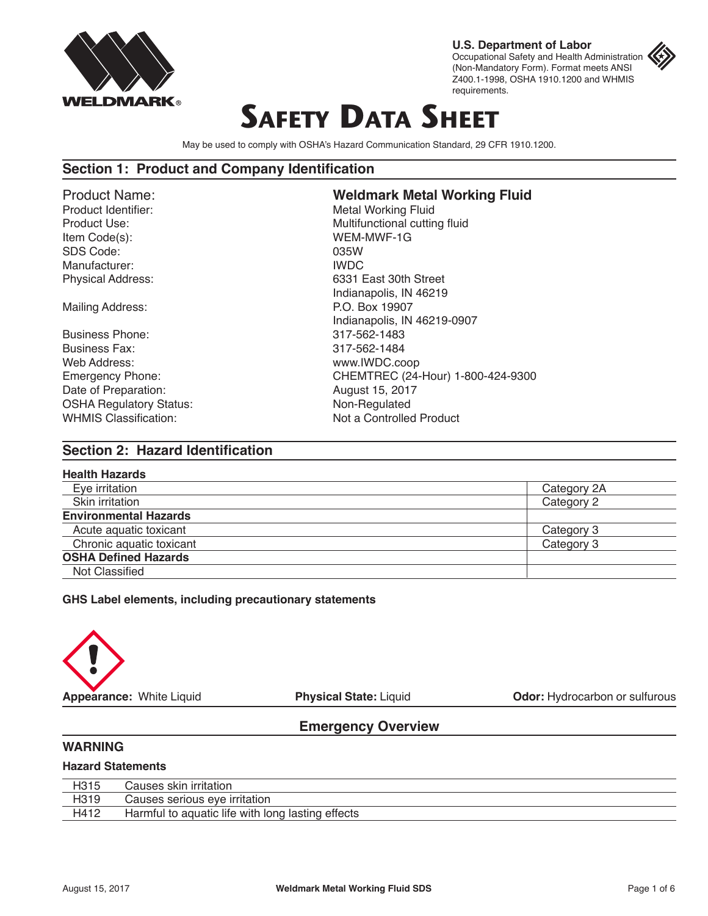

**U.S. Department of Labor** Occupational Safety and Health Administration (Non-Mandatory Form). Format meets ANSI Z400.1-1998, OSHA 1910.1200 and WHMIS requirements.

# **SAFETY DATA SHEET**

May be used to comply with OSHA's Hazard Communication Standard, 29 CFR 1910.1200.

#### **Section 1: Product and Company Identification**

Item Code(s): WEM-MWF-1G SDS Code: 035W Manufacturer: **IWDC** 

Business Phone: 317-562-1483 Business Fax: 317-562-1484 Web Address: www.IWDC.coop Date of Preparation: August 15, 2017 OSHA Regulatory Status: Non-Regulated

# Product Name: **Weldmark Metal Working Fluid Metal Working Fluid** Product Use: National Cutting fluid Physical Address: 6331 East 30th Street Indianapolis, IN 46219 Mailing Address: P.O. Box 19907 Indianapolis, IN 46219-0907 Emergency Phone: CHEMTREC (24-Hour) 1-800-424-9300 WHMIS Classification: Not a Controlled Product

#### **Section 2: Hazard Identification**

| <b>Health Hazards</b>        |             |
|------------------------------|-------------|
| Eye irritation               | Category 2A |
| Skin irritation              | Category 2  |
| <b>Environmental Hazards</b> |             |
| Acute aquatic toxicant       | Category 3  |
| Chronic aquatic toxicant     | Category 3  |
| <b>OSHA Defined Hazards</b>  |             |
| Not Classified               |             |
|                              |             |

**GHS Label elements, including precautionary statements**



**Appearance:** White Liquid **Physical State:** Liquid **Odor:** Hydrocarbon or sulfurous

#### **Emergency Overview**

#### **WARNING**

#### **Hazard Statements**

| H315 | Causes skin irritation                            |
|------|---------------------------------------------------|
| H319 | Causes serious eye irritation                     |
| H412 | Harmful to aquatic life with long lasting effects |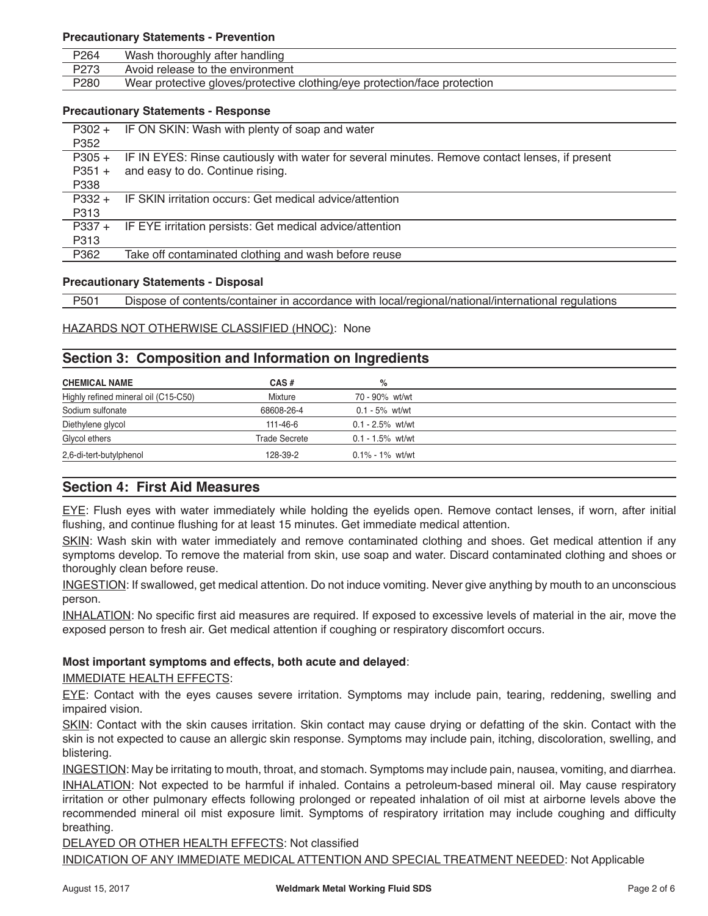#### **Precautionary Statements - Prevention**

| P <sub>264</sub> | Wash thoroughly after handling                                            |
|------------------|---------------------------------------------------------------------------|
| P273             | Avoid release to the environment                                          |
| P280             | Wear protective gloves/protective clothing/eye protection/face protection |
|                  |                                                                           |

#### **Precautionary Statements - Response**

| $P302 +$ | IF ON SKIN: Wash with plenty of soap and water                                                 |
|----------|------------------------------------------------------------------------------------------------|
| P352     |                                                                                                |
| $P305 +$ | IF IN EYES: Rinse cautiously with water for several minutes. Remove contact lenses, if present |
| $P351 +$ | and easy to do. Continue rising.                                                               |
| P338     |                                                                                                |
| $P332 +$ | IF SKIN irritation occurs: Get medical advice/attention                                        |
| P313     |                                                                                                |
| $P337 +$ | IF EYE irritation persists: Get medical advice/attention                                       |
| P313     |                                                                                                |
| P362     | Take off contaminated clothing and wash before reuse                                           |
|          |                                                                                                |

#### **Precautionary Statements - Disposal**

P501 Dispose of contents/container in accordance with local/regional/national/international regulations

#### HAZARDS NOT OTHERWISE CLASSIFIED (HNOC): None

#### **Section 3: Composition and Information on Ingredients**

| <b>CHEMICAL NAME</b>                 | CAS#                 | %                   |
|--------------------------------------|----------------------|---------------------|
| Highly refined mineral oil (C15-C50) | Mixture              | 70 - 90% wt/wt      |
| Sodium sulfonate                     | 68608-26-4           | $0.1 - 5\%$ wt/wt   |
| Diethylene glycol                    | 111-46-6             | $0.1 - 2.5\%$ wt/wt |
| Glycol ethers                        | <b>Trade Secrete</b> | $0.1 - 1.5\%$ wt/wt |
| 2,6-di-tert-butylphenol              | 128-39-2             | $0.1\% - 1\%$ wt/wt |

#### **Section 4: First Aid Measures**

EYE: Flush eyes with water immediately while holding the eyelids open. Remove contact lenses, if worn, after initial flushing, and continue flushing for at least 15 minutes. Get immediate medical attention.

SKIN: Wash skin with water immediately and remove contaminated clothing and shoes. Get medical attention if any symptoms develop. To remove the material from skin, use soap and water. Discard contaminated clothing and shoes or thoroughly clean before reuse.

INGESTION: If swallowed, get medical attention. Do not induce vomiting. Never give anything by mouth to an unconscious person.

INHALATION: No specific first aid measures are required. If exposed to excessive levels of material in the air, move the exposed person to fresh air. Get medical attention if coughing or respiratory discomfort occurs.

#### **Most important symptoms and effects, both acute and delayed**:

IMMEDIATE HEALTH EFFECTS:

EYE: Contact with the eyes causes severe irritation. Symptoms may include pain, tearing, reddening, swelling and impaired vision.

SKIN: Contact with the skin causes irritation. Skin contact may cause drying or defatting of the skin. Contact with the skin is not expected to cause an allergic skin response. Symptoms may include pain, itching, discoloration, swelling, and blistering.

INGESTION: May be irritating to mouth, throat, and stomach. Symptoms may include pain, nausea, vomiting, and diarrhea. INHALATION: Not expected to be harmful if inhaled. Contains a petroleum-based mineral oil. May cause respiratory irritation or other pulmonary effects following prolonged or repeated inhalation of oil mist at airborne levels above the recommended mineral oil mist exposure limit. Symptoms of respiratory irritation may include coughing and difficulty breathing.

DELAYED OR OTHER HEALTH EFFECTS: Not classified

INDICATION OF ANY IMMEDIATE MEDICAL ATTENTION AND SPECIAL TREATMENT NEEDED: Not Applicable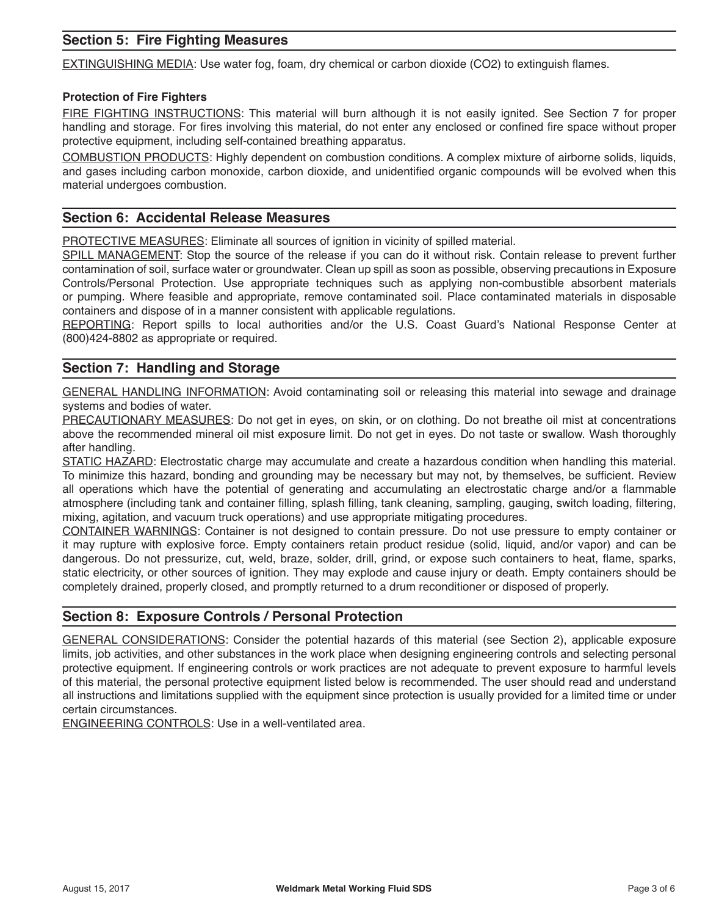# **Section 5: Fire Fighting Measures**

EXTINGUISHING MEDIA: Use water fog, foam, dry chemical or carbon dioxide (CO2) to extinguish flames.

#### **Protection of Fire Fighters**

FIRE FIGHTING INSTRUCTIONS: This material will burn although it is not easily ignited. See Section 7 for proper handling and storage. For fires involving this material, do not enter any enclosed or confined fire space without proper protective equipment, including self-contained breathing apparatus.

COMBUSTION PRODUCTS: Highly dependent on combustion conditions. A complex mixture of airborne solids, liquids, and gases including carbon monoxide, carbon dioxide, and unidentified organic compounds will be evolved when this material undergoes combustion.

#### **Section 6: Accidental Release Measures**

PROTECTIVE MEASURES: Eliminate all sources of ignition in vicinity of spilled material.

SPILL MANAGEMENT: Stop the source of the release if you can do it without risk. Contain release to prevent further contamination of soil, surface water or groundwater. Clean up spill as soon as possible, observing precautions in Exposure Controls/Personal Protection. Use appropriate techniques such as applying non-combustible absorbent materials or pumping. Where feasible and appropriate, remove contaminated soil. Place contaminated materials in disposable containers and dispose of in a manner consistent with applicable regulations.

REPORTING: Report spills to local authorities and/or the U.S. Coast Guard's National Response Center at (800)424-8802 as appropriate or required.

#### **Section 7: Handling and Storage**

GENERAL HANDLING INFORMATION: Avoid contaminating soil or releasing this material into sewage and drainage systems and bodies of water.

PRECAUTIONARY MEASURES: Do not get in eyes, on skin, or on clothing. Do not breathe oil mist at concentrations above the recommended mineral oil mist exposure limit. Do not get in eyes. Do not taste or swallow. Wash thoroughly after handling.

STATIC HAZARD: Electrostatic charge may accumulate and create a hazardous condition when handling this material. To minimize this hazard, bonding and grounding may be necessary but may not, by themselves, be sufficient. Review all operations which have the potential of generating and accumulating an electrostatic charge and/or a flammable atmosphere (including tank and container filling, splash filling, tank cleaning, sampling, gauging, switch loading, filtering, mixing, agitation, and vacuum truck operations) and use appropriate mitigating procedures.

CONTAINER WARNINGS: Container is not designed to contain pressure. Do not use pressure to empty container or it may rupture with explosive force. Empty containers retain product residue (solid, liquid, and/or vapor) and can be dangerous. Do not pressurize, cut, weld, braze, solder, drill, grind, or expose such containers to heat, flame, sparks, static electricity, or other sources of ignition. They may explode and cause injury or death. Empty containers should be completely drained, properly closed, and promptly returned to a drum reconditioner or disposed of properly.

#### **Section 8: Exposure Controls / Personal Protection**

GENERAL CONSIDERATIONS: Consider the potential hazards of this material (see Section 2), applicable exposure limits, job activities, and other substances in the work place when designing engineering controls and selecting personal protective equipment. If engineering controls or work practices are not adequate to prevent exposure to harmful levels of this material, the personal protective equipment listed below is recommended. The user should read and understand all instructions and limitations supplied with the equipment since protection is usually provided for a limited time or under certain circumstances.

ENGINEERING CONTROLS: Use in a well-ventilated area.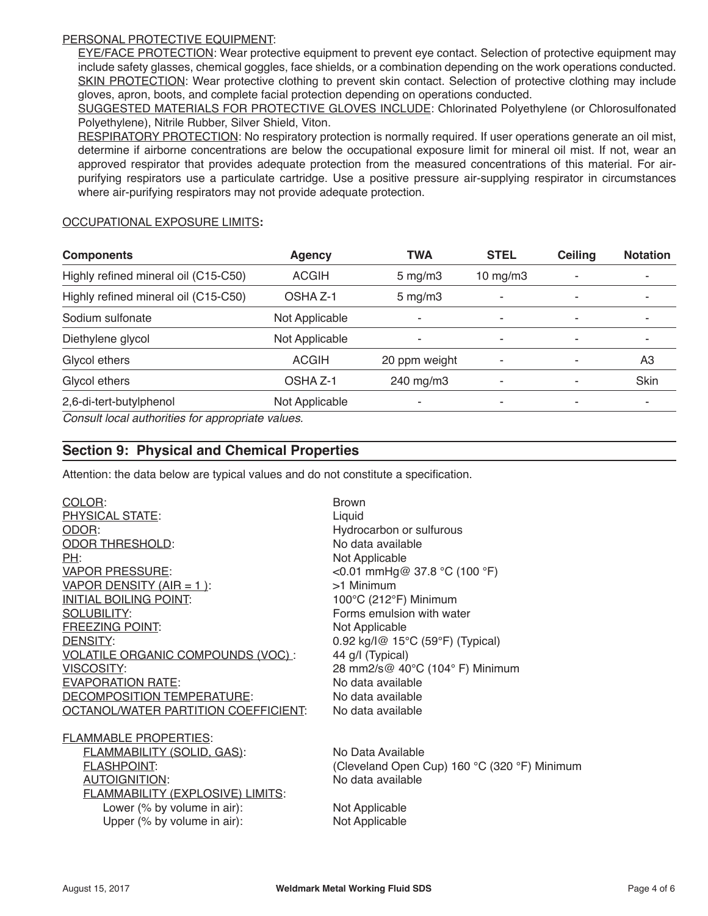#### PERSONAL PROTECTIVE EQUIPMENT:

EYE/FACE PROTECTION: Wear protective equipment to prevent eye contact. Selection of protective equipment may include safety glasses, chemical goggles, face shields, or a combination depending on the work operations conducted. SKIN PROTECTION: Wear protective clothing to prevent skin contact. Selection of protective clothing may include gloves, apron, boots, and complete facial protection depending on operations conducted.

SUGGESTED MATERIALS FOR PROTECTIVE GLOVES INCLUDE: Chlorinated Polyethylene (or Chlorosulfonated Polyethylene), Nitrile Rubber, Silver Shield, Viton.

RESPIRATORY PROTECTION: No respiratory protection is normally required. If user operations generate an oil mist, determine if airborne concentrations are below the occupational exposure limit for mineral oil mist. If not, wear an approved respirator that provides adequate protection from the measured concentrations of this material. For airpurifying respirators use a particulate cartridge. Use a positive pressure air-supplying respirator in circumstances where air-purifying respirators may not provide adequate protection.

#### OCCUPATIONAL EXPOSURE LIMITS**:**

| <b>Components</b>                                | <b>Agency</b>       | <b>TWA</b>    | <b>STEL</b>    | Ceiling | <b>Notation</b> |
|--------------------------------------------------|---------------------|---------------|----------------|---------|-----------------|
| Highly refined mineral oil (C15-C50)             | <b>ACGIH</b>        | $5$ mg/m $3$  | 10 $mg/m3$     |         |                 |
| Highly refined mineral oil (C15-C50)             | OSHA Z-1            | $5$ mg/m $3$  | ۰              | ۰       |                 |
| Sodium sulfonate                                 | Not Applicable      | ۰             | ۰              | ۰       |                 |
| Diethylene glycol                                | Not Applicable      | ۰             | ۰              | ۰       |                 |
| Glycol ethers                                    | <b>ACGIH</b>        | 20 ppm weight | ۰              | ۰       | A3              |
| Glycol ethers                                    | OSHA <sub>Z-1</sub> | 240 mg/m3     | $\blacksquare$ |         | Skin            |
| 2,6-di-tert-butylphenol<br>Not Applicable        |                     | ۰             | ۰              | ٠       |                 |
| Concult local authorities for appropriate values |                     |               |                |         |                 |

*Consult local authorities for appropriate values.*

### **Section 9: Physical and Chemical Properties**

Attention: the data below are typical values and do not constitute a specification.

| COLOR:                                  | <b>Brown</b>                                 |
|-----------------------------------------|----------------------------------------------|
| PHYSICAL STATE:                         | Liquid                                       |
| ODOR:                                   | Hydrocarbon or sulfurous                     |
| <b>ODOR THRESHOLD:</b>                  | No data available                            |
| <u>PH:</u>                              | Not Applicable                               |
| <b>VAPOR PRESSURE:</b>                  | <0.01 mmHg@ 37.8 °C (100 °F)                 |
| <u>VAPOR DENSITY (AIR = 1)</u> :        | >1 Minimum                                   |
| <b>INITIAL BOILING POINT:</b>           | 100°C (212°F) Minimum                        |
| <b>SOLUBILITY:</b>                      | Forms emulsion with water                    |
| FREEZING POINT:                         | Not Applicable                               |
| DENSITY:                                | 0.92 kg/l@ 15°C (59°F) (Typical)             |
| VOLATILE ORGANIC COMPOUNDS (VOC):       | 44 g/l (Typical)                             |
| <b>VISCOSITY:</b>                       | 28 mm2/s@ 40°C (104° F) Minimum              |
| <b>EVAPORATION RATE:</b>                | No data available                            |
| <b>DECOMPOSITION TEMPERATURE:</b>       | No data available                            |
| OCTANOL/WATER PARTITION COEFFICIENT:    | No data available                            |
| <b>FLAMMABLE PROPERTIES:</b>            |                                              |
| <b>FLAMMABILITY (SOLID, GAS):</b>       | No Data Available                            |
| <b>FLASHPOINT:</b>                      | (Cleveland Open Cup) 160 °C (320 °F) Minimum |
| <b>AUTOIGNITION:</b>                    | No data available                            |
| <b>FLAMMABILITY (EXPLOSIVE) LIMITS:</b> |                                              |
| Lower (% by volume in air):             | Not Applicable                               |
| Upper (% by volume in air):             | Not Applicable                               |
|                                         |                                              |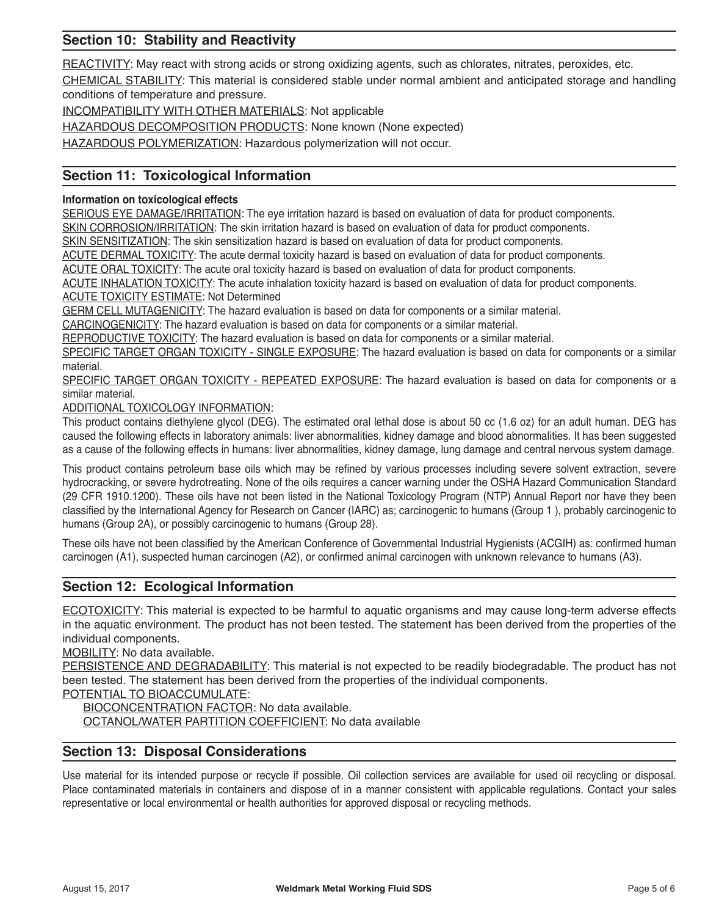# **Section 10: Stability and Reactivity**

REACTIVITY: May react with strong acids or strong oxidizing agents, such as chlorates, nitrates, peroxides, etc.

CHEMICAL STABILITY: This material is considered stable under normal ambient and anticipated storage and handling conditions of temperature and pressure.

INCOMPATIBILITY WITH OTHER MATERIALS: Not applicable

HAZARDOUS DECOMPOSITION PRODUCTS: None known (None expected)

HAZARDOUS POLYMERIZATION: Hazardous polymerization will not occur.

# **Section 11: Toxicological Information**

#### **Information on toxicological effects**

SERIOUS EYE DAMAGE/IRRITATION: The eye irritation hazard is based on evaluation of data for product components.

SKIN CORROSION/IRRITATION: The skin irritation hazard is based on evaluation of data for product components.

SKIN SENSITIZATION: The skin sensitization hazard is based on evaluation of data for product components.

ACUTE DERMAL TOXICITY: The acute dermal toxicity hazard is based on evaluation of data for product components.

ACUTE ORAL TOXICITY: The acute oral toxicity hazard is based on evaluation of data for product components.

ACUTE INHALATION TOXICITY: The acute inhalation toxicity hazard is based on evaluation of data for product components. ACUTE TOXICITY ESTIMATE: Not Determined

GERM CELL MUTAGENICITY: The hazard evaluation is based on data for components or a similar material.

CARCINOGENICITY: The hazard evaluation is based on data for components or a similar material.

REPRODUCTIVE TOXICITY: The hazard evaluation is based on data for components or a similar material.

SPECIFIC TARGET ORGAN TOXICITY - SINGLE EXPOSURE: The hazard evaluation is based on data for components or a similar material.

SPECIFIC TARGET ORGAN TOXICITY - REPEATED EXPOSURE: The hazard evaluation is based on data for components or a similar material.

ADDITIONAL TOXICOLOGY INFORMATION:

This product contains diethylene glycol (DEG). The estimated oral lethal dose is about 50 cc (1.6 oz) for an adult human. DEG has caused the following effects in laboratory animals: liver abnormalities, kidney damage and blood abnormalities. It has been suggested as a cause of the following effects in humans: liver abnormalities, kidney damage, lung damage and central nervous system damage.

This product contains petroleum base oils which may be refined by various processes including severe solvent extraction, severe hydrocracking, or severe hydrotreating. None of the oils requires a cancer warning under the OSHA Hazard Communication Standard (29 CFR 1910.1200). These oils have not been listed in the National Toxicology Program (NTP) Annual Report nor have they been classified by the International Agency for Research on Cancer (IARC) as; carcinogenic to humans (Group 1 ), probably carcinogenic to humans (Group 2A), or possibly carcinogenic to humans (Group 28).

These oils have not been classified by the American Conference of Governmental Industrial Hygienists (ACGIH) as: confirmed human carcinogen (A1), suspected human carcinogen (A2), or confirmed animal carcinogen with unknown relevance to humans (A3).

# **Section 12: Ecological Information**

ECOTOXICITY: This material is expected to be harmful to aquatic organisms and may cause long-term adverse effects in the aquatic environment. The product has not been tested. The statement has been derived from the properties of the individual components.

MOBILITY: No data available.

PERSISTENCE AND DEGRADABILITY: This material is not expected to be readily biodegradable. The product has not been tested. The statement has been derived from the properties of the individual components.

POTENTIAL TO BIOACCUMULATE:

BIOCONCENTRATION FACTOR: No data available.

OCTANOL/WATER PARTITION COEFFICIENT: No data available

# **Section 13: Disposal Considerations**

Use material for its intended purpose or recycle if possible. Oil collection services are available for used oil recycling or disposal. Place contaminated materials in containers and dispose of in a manner consistent with applicable regulations. Contact your sales representative or local environmental or health authorities for approved disposal or recycling methods.